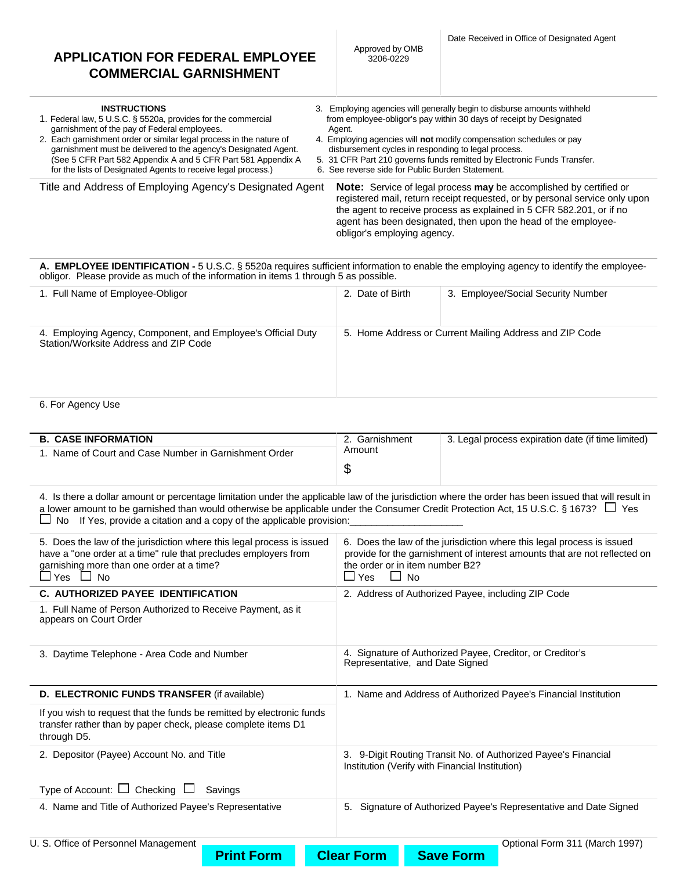| <b>INSTRUCTIONS</b><br>1. Federal law, 5 U.S.C. § 5520a, provides for the commercial<br>garnishment of the pay of Federal employees.<br>2. Each garnishment order or similar legal process in the nature of<br>garnishment must be delivered to the agency's Designated Agent.<br>(See 5 CFR Part 582 Appendix A and 5 CFR Part 581 Appendix A<br>for the lists of Designated Agents to receive legal process.) | 3. Employing agencies will generally begin to disburse amounts withheld<br>from employee-obligor's pay within 30 days of receipt by Designated<br>Agent.<br>4. Employing agencies will not modify compensation schedules or pay<br>disbursement cycles in responding to legal process.<br>5. 31 CFR Part 210 governs funds remitted by Electronic Funds Transfer.<br>6. See reverse side for Public Burden Statement. |
|-----------------------------------------------------------------------------------------------------------------------------------------------------------------------------------------------------------------------------------------------------------------------------------------------------------------------------------------------------------------------------------------------------------------|-----------------------------------------------------------------------------------------------------------------------------------------------------------------------------------------------------------------------------------------------------------------------------------------------------------------------------------------------------------------------------------------------------------------------|
| Title and Address of Employing Agency's Designated Agent                                                                                                                                                                                                                                                                                                                                                        | <b>Note:</b> Service of legal process <b>may</b> be accomplished by certified or<br>registered mail, return receipt requested, or by personal service only upon<br>the agent to receive process as explained in 5 CFR 582.201, or if no<br>agent has been designated, then upon the head of the employee-<br>obligor's employing agency.                                                                              |

**A. EMPLOYEE IDENTIFICATION -** 5 U.S.C. § 5520a requires sufficient information to enable the employing agency to identify the employeeobligor. Please provide as much of the information in items 1 through 5 as possible.

| 1. Full Name of Employee-Obligor                                                                      | 2. Date of Birth | 3. Employee/Social Security Number                      |
|-------------------------------------------------------------------------------------------------------|------------------|---------------------------------------------------------|
| 4. Employing Agency, Component, and Employee's Official Duty<br>Station/Worksite Address and ZIP Code |                  | 5. Home Address or Current Mailing Address and ZIP Code |
| . .<br>- -                                                                                            |                  |                                                         |

6. For Agency Use

| <b>B. CASE INFORMATION</b>                         | Garnishment<br>Amount | 3. Legal process expiration date (if time limited) |
|----------------------------------------------------|-----------------------|----------------------------------------------------|
| Name of Court and Case Number in Garnishment Order |                       |                                                    |
|                                                    |                       |                                                    |

4. Is there a dollar amount or percentage limitation under the applicable law of the jurisdiction where the order has been issued that will result in a lower amount to be garnished than would otherwise be applicable under the Consumer Credit Protection Act, 15 U.S.C. § 1673?  $\Box$  Yes  $\square$  No If Yes, provide a citation and a copy of the applicable provision:

| 5. Does the law of the jurisdiction where this legal process is issued<br>have a "one order at a time" rule that precludes employers from<br>garnishing more than one order at a time? | 6. Does the law of the jurisdiction where this legal process is issued<br>provide for the garnishment of interest amounts that are not reflected on<br>the order or in item number B2? |
|----------------------------------------------------------------------------------------------------------------------------------------------------------------------------------------|----------------------------------------------------------------------------------------------------------------------------------------------------------------------------------------|
| $\sqcup$ Yes $\;\sqcup\;$ No                                                                                                                                                           | $\Box$ No<br>$\Box$ Yes                                                                                                                                                                |
| C. AUTHORIZED PAYEE IDENTIFICATION                                                                                                                                                     | 2. Address of Authorized Payee, including ZIP Code                                                                                                                                     |
| 1. Full Name of Person Authorized to Receive Payment, as it<br>appears on Court Order                                                                                                  |                                                                                                                                                                                        |
| 3. Daytime Telephone - Area Code and Number                                                                                                                                            | 4. Signature of Authorized Payee, Creditor, or Creditor's<br>Representative, and Date Signed                                                                                           |
| D. ELECTRONIC FUNDS TRANSFER (if available)                                                                                                                                            | 1. Name and Address of Authorized Payee's Financial Institution                                                                                                                        |
| If you wish to request that the funds be remitted by electronic funds<br>transfer rather than by paper check, please complete items D1<br>through D5.                                  |                                                                                                                                                                                        |
| 2. Depositor (Payee) Account No. and Title                                                                                                                                             | 3. 9-Digit Routing Transit No. of Authorized Payee's Financial<br>Institution (Verify with Financial Institution)                                                                      |
| Type of Account: $\Box$ Checking $\Box$<br>Savings                                                                                                                                     |                                                                                                                                                                                        |
| 4. Name and Title of Authorized Payee's Representative                                                                                                                                 | Signature of Authorized Payee's Representative and Date Signed<br>5.                                                                                                                   |
| U. S. Office of Personnel Management                                                                                                                                                   | Optional Form 311 (March 1997)                                                                                                                                                         |

**Print Form Clear Form Save Form**